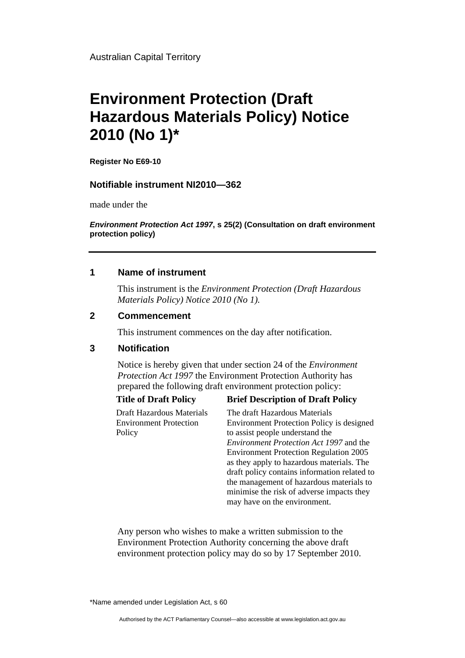Australian Capital Territory

# **Environment Protection (Draft Hazardous Materials Policy) Notice 2010 (No 1)\***

**Register No E69-10** 

# **Notifiable instrument NI2010—362**

made under the

*Environment Protection Act 1997***, s 25(2) (Consultation on draft environment protection policy)**

# **1 Name of instrument**

This instrument is the *Environment Protection (Draft Hazardous Materials Policy) Notice 2010 (No 1).* 

### **2 Commencement**

This instrument commences on the day after notification.

# **3 Notification**

Notice is hereby given that under section 24 of the *Environment Protection Act 1997* the Environment Protection Authority has prepared the following draft environment protection policy:

Draft Hazardous Materials Environment Protection Policy

# **Title of Draft Policy Brief Description of Draft Policy**

The draft Hazardous Materials Environment Protection Policy is designed to assist people understand the *Environment Protection Act 1997* and the Environment Protection Regulation 2005 as they apply to hazardous materials. The draft policy contains information related to the management of hazardous materials to minimise the risk of adverse impacts they may have on the environment.

Any person who wishes to make a written submission to the Environment Protection Authority concerning the above draft environment protection policy may do so by 17 September 2010.

\*Name amended under Legislation Act, s 60